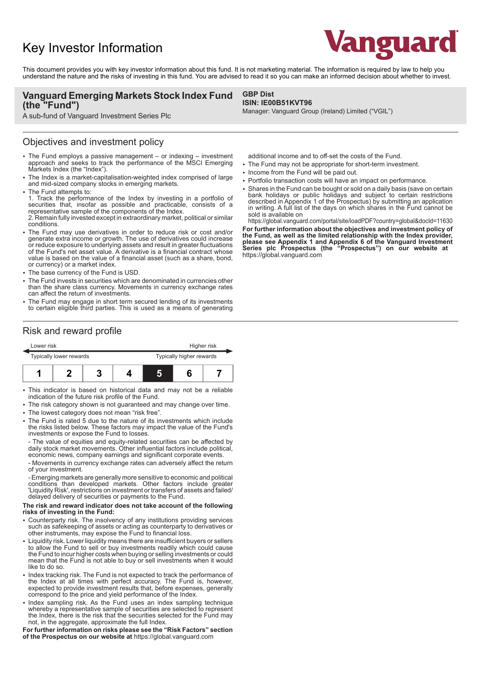# Key Investor Information



This document provides you with key investor information about this fund. It is not marketing material. The information is required by law to help you understand the nature and the risks of investing in this fund. You are advised to read it so you can make an informed decision about whether to invest.

### **Vanguard Emerging Markets Stock Index Fund (the "Fund")**

A sub-fund of Vanguard Investment Series Plc

### Objectives and investment policy

- The Fund employs a passive management or indexing investment approach and seeks to track the performance of the MSCI Emerging Markets Index (the "Index").
- The Index is a market-capitalisation-weighted index comprised of large and mid-sized company stocks in emerging markets.
- The Fund attempts to:
- 1. Track the performance of the Index by investing in a portfolio of securities that, insofar as possible and practicable, consists of a representative sample of the components of the Index. 2. Remain fully invested except in extraordinary market, political or similar conditions.
- The Fund may use derivatives in order to reduce risk or cost and/or generate extra income or growth. The use of derivatives could increase or reduce exposure to underlying assets and result in greater fluctuations of the Fund's net asset value. A derivative is a financial contract whose value is based on the value of a financial asset (such as a share, bond, or currency) or a market index.
- The base currency of the Fund is USD.
- The Fund invests in securities which are denominated in currencies other than the share class currency. Movements in currency exchange rates can affect the return of investments.
- The Fund may engage in short term secured lending of its investments to certain eligible third parties. This is used as a means of generating

# Risk and reward profile

|  | Lower risk<br>Typically lower rewards |  |  |  | Higher risk              |  |  |
|--|---------------------------------------|--|--|--|--------------------------|--|--|
|  |                                       |  |  |  | Typically higher rewards |  |  |
|  |                                       |  |  |  |                          |  |  |

- This indicator is based on historical data and may not be a reliable indication of the future risk profile of the Fund.
- The risk category shown is not guaranteed and may change over time.
- The lowest category does not mean "risk free".
- The Fund is rated 5 due to the nature of its investments which include the risks listed below. These factors may impact the value of the Fund's investments or expose the Fund to losses.

- The value of equities and equity-related securities can be affected by daily stock market movements. Other influential factors include political, economic news, company earnings and significant corporate events.

- Movements in currency exchange rates can adversely affect the return of your investment.

- Emerging markets are generally more sensitive to economic and political conditions than developed markets. Other factors include greater 'Liquidity Risk', restrictions on investment or transfers of assets and failed/ delayed delivery of securities or payments to the Fund.

#### **The risk and reward indicator does not take account of the following risks of investing in the Fund:**

- 2 Counterparty risk. The insolvency of any institutions providing services such as safekeeping of assets or acting as counterparty to derivatives or other instruments, may expose the Fund to financial loss.
- Liquidity risk. Lower liquidity means there are insufficient buyers or sellers to allow the Fund to sell or buy investments readily which could cause the Fund to incur higher costs when buying or selling investments or could mean that the Fund is not able to buy or sell investments when it would like to do so.
- Index tracking risk. The Fund is not expected to track the performance of the Index at all times with perfect accuracy. The Fund is, however, expected to provide investment results that, before expenses, generally correspond to the price and yield performance of the Index.
- Index sampling risk. As the Fund uses an index sampling technique whereby a representative sample of securities are selected to represent the Index, there is the risk that the securities selected for the Fund may not, in the aggregate, approximate the full Index.

**For further information on risks please see the "Risk Factors" section of the Prospectus on our website at** https://global.vanguard.com

#### **GBP Dist ISIN: IE00B51KVT96**

Manager: Vanguard Group (Ireland) Limited ("VGIL")

additional income and to off-set the costs of the Fund.

- The Fund may not be appropriate for short-term investment.
- Income from the Fund will be paid out.
- Portfolio transaction costs will have an impact on performance.
- Shares in the Fund can be bought or sold on a daily basis (save on certain bank holidays or public holidays and subject to certain restrictions described in Appendix 1 of the Prospectus) by submitting an application in writing. A full list of the days on which shares in the Fund cannot be sold is available on

https://global.vanguard.com/portal/site/loadPDF?country=global&docId=11630 **For further information about the objectives and investment policy of the Fund, as well as the limited relationship with the Index provider, please see Appendix 1 and Appendix 6 of the Vanguard Investment Series plc Prospectus (the "Prospectus") on our website at**  https://global.vanguard.com